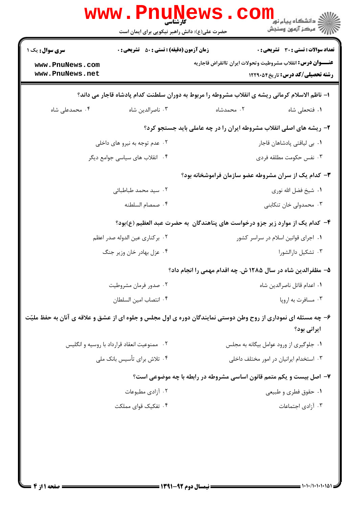|                                                                                                                               | <b>www.PnuNews</b>                                                   |                                                                     | ر دانشڪاه پيام نور<br>ا∛ مرکز آزمون وسنجش                                                                        |  |  |
|-------------------------------------------------------------------------------------------------------------------------------|----------------------------------------------------------------------|---------------------------------------------------------------------|------------------------------------------------------------------------------------------------------------------|--|--|
|                                                                                                                               | حضرت علی(ع): دانش راهبر نیکویی برای ایمان است                        |                                                                     |                                                                                                                  |  |  |
| <b>سری سوال :</b> یک ۱                                                                                                        | <b>زمان آزمون (دقیقه) : تستی : 50 ٪ تشریحی : 0</b>                   |                                                                     | <b>تعداد سوالات : تستي : 30 ٪ تشريحي : 0</b>                                                                     |  |  |
| www.PnuNews.com<br>www.PnuNews.net                                                                                            |                                                                      |                                                                     | <b>عنـــوان درس:</b> انقلاب مشروطيت وتحولات ايران تاانقراض قاجاريه<br><b>رشته تحصیلی/کد درس:</b> تاریخ24004 1229 |  |  |
| ا– ناظم الاسلام کرمانی ریشه ی انقلاب مشروطه را مربوط به دوران سلطنت کدام پادشاه قاجار می داند؟                                |                                                                      |                                                                     |                                                                                                                  |  |  |
| ۰۴ محمدعلی شاه                                                                                                                | ۰۳ ناصرالدين شاه                                                     | ۰۲ محمدشاه                                                          | ۰۱ فتحعلی شاه                                                                                                    |  |  |
|                                                                                                                               |                                                                      | ۲- ریشه های اصلی انقلاب مشروطه ایران را در چه عاملی باید جستجو کرد؟ |                                                                                                                  |  |  |
|                                                                                                                               | ۰۲ عدم توجه به نیرو های داخلی                                        |                                                                     | ۰۱ بی لیاقتی پادشاهان قاجار                                                                                      |  |  |
| ۰۴ انقلاب های سیاسی جوامع دیگر                                                                                                |                                                                      | ۰۳ نفس حکومت مطلقه فردی                                             |                                                                                                                  |  |  |
| ۳– کدام یک از سران مشروطه عضو سازمان فراموشخانه بود؟                                                                          |                                                                      |                                                                     |                                                                                                                  |  |  |
|                                                                                                                               | ٢. سيد محمد طباطبائى                                                 |                                                                     | ٠١. شيخ فضل الله نوري                                                                                            |  |  |
|                                                                                                                               | ۰۴ صمصام السلطنه                                                     |                                                                     | ۰۳ محمدولی خان تنکابنی                                                                                           |  |  |
|                                                                                                                               |                                                                      |                                                                     | ۴– کدام یک از موارد زیر جزو درخواست های پناهندگان به حضرت عبد العظیم (ع)بود؟                                     |  |  |
|                                                                                                                               | ۰۲ بر کناری عین الدوله صدر اعظم                                      | ۰۱ اجرای قوانین اسلام در سراسر کشور                                 |                                                                                                                  |  |  |
|                                                                                                                               | ۰۴ عزل بهادر خان وزير جنگ                                            |                                                                     | ۰۳ تشکیل دارالشورا                                                                                               |  |  |
|                                                                                                                               |                                                                      | ۵- مظفرالدین شاه در سال ۱۲۸۵ ش. چه اقدام مهمی را انجام داد؟         |                                                                                                                  |  |  |
|                                                                                                                               | ۰۲ صدور فرمان مشروطیت                                                |                                                                     | ٠١. اعدام قاتل ناصرالدين شاه                                                                                     |  |  |
|                                                                                                                               | ۰۴ انتصاب امين السلطان                                               |                                                                     | ۰۳ مسافرت به اروپا                                                                                               |  |  |
| ۶– چه مسئله ای نموداری از روح وطن دوستی نمایندگان دوره ی اول مجلس و جلوه ای از عشق و علاقه ی آنان به حفظ ملیّت<br>ایرانی بود؟ |                                                                      |                                                                     |                                                                                                                  |  |  |
|                                                                                                                               | ۰۲ ممنوعیت انعقاد قرارداد با روسیه و انگلیس                          |                                                                     | ۰۱ جلوگیری از ورود عوامل بیگانه به مجلس                                                                          |  |  |
|                                                                                                                               | ۰۴ تلاش برای تأسیس بانک ملی                                          |                                                                     | ۰۳ استخدام ایرانیان در امور مختلف داخلی                                                                          |  |  |
|                                                                                                                               | ۷- اصل بیست و یکم متمم قانون اساسی مشروطه در رابطه با چه موضوعی است؟ |                                                                     |                                                                                                                  |  |  |
|                                                                                                                               | ۰۲ آزادی مطبوعات                                                     |                                                                     | ۰۱ حقوق فطری و طبیعی                                                                                             |  |  |
|                                                                                                                               | ۰۴ تفکیک قوای مملکت                                                  |                                                                     | ۰۳ آزادی اجتماعات                                                                                                |  |  |
|                                                                                                                               |                                                                      |                                                                     |                                                                                                                  |  |  |
|                                                                                                                               |                                                                      |                                                                     |                                                                                                                  |  |  |
|                                                                                                                               |                                                                      |                                                                     |                                                                                                                  |  |  |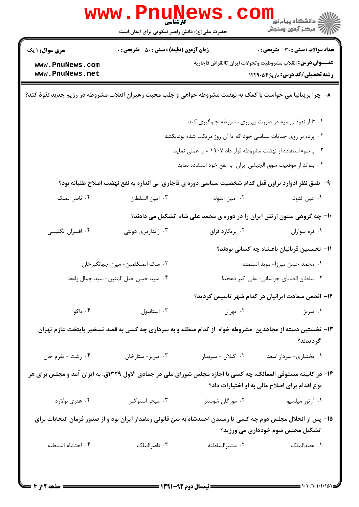|                                                                                                                                                                                                                                                          | <b>WWW.FNUNE</b><br>حضرت علی(ع): دانش راهبر نیکویی برای ایمان است                                                                                  |                                                                                                                                                                                                                                                                                   | الاد دانشگاه پيام نور<br>الاد مرکز آزمون وسنجش                                                                                                                                 |  |  |
|----------------------------------------------------------------------------------------------------------------------------------------------------------------------------------------------------------------------------------------------------------|----------------------------------------------------------------------------------------------------------------------------------------------------|-----------------------------------------------------------------------------------------------------------------------------------------------------------------------------------------------------------------------------------------------------------------------------------|--------------------------------------------------------------------------------------------------------------------------------------------------------------------------------|--|--|
| <b>سری سوال : ۱ یک</b><br>www.PnuNews.com<br>www.PnuNews.net                                                                                                                                                                                             | <b>زمان آزمون (دقیقه) : تستی : 50 ٪ تشریحی : 0</b>                                                                                                 |                                                                                                                                                                                                                                                                                   | <b>تعداد سوالات : تستی : 30 ٪ تشریحی : 0</b><br><b>عنـــوان درس:</b> انقلاب مشروطيت وتحولات ايران تاانقراض قاجاريه<br><b>رشته تحصیلی/کد درس:</b> تاریخ44012 1229               |  |  |
| ۸– چرا بریتانیا می خواست با کمک به نهضت مشروطه خواهی و جلب محبت رهبران انقلاب مشروطه در رژیم جدید نفوذ کند؟                                                                                                                                              |                                                                                                                                                    |                                                                                                                                                                                                                                                                                   |                                                                                                                                                                                |  |  |
| ۰۴ ناصر الملک                                                                                                                                                                                                                                            | ۹- ً طبق نظر ادوارد براون قتل کدام شخصیت سیاسی دوره ی قاجاری ًبی اندازه به نفع نهضت اصلاح طلبانه بود؟<br>۰۳ امين السلطان                           | ۰۱ تا از نفوذ روسیه در صورت پیروزی مشروطه جلوگیری کند.<br>۰۲ پرده بر روی جنایات سیاسی خود که تا آن روز مرتکب شده بود،بکشد.<br>۰۳ با سوء استفاده از نهضت مشروطه قرار داد ۱۹۰۷ م را عملی نماید.<br>۰۴ بتواند از موقعیت سوق الجیشی ایران به نفع خود استفاده نماید.<br>٠٢ امين الدوله | ٠١ عين الدوله                                                                                                                                                                  |  |  |
| ۰۴ افسران انگلیسی                                                                                                                                                                                                                                        | ۰۳ ژاندارمری دولتی                                                                                                                                 | ۰۲ بریگارد قزاق                                                                                                                                                                                                                                                                   | ۱۰- چه گروهی ستون ارتش ایران را در دوره ی محمد علی شاه تشکیل می دادند؟<br>٠١ قره سواران                                                                                        |  |  |
|                                                                                                                                                                                                                                                          | ۰۲ ملک المتکلمین- میرزا جهانگیرخان<br>۴. سيد حسن حبل المتين- سيد جمال واعظ                                                                         |                                                                                                                                                                                                                                                                                   | ۱۱– نخستین قربانیان باغشاه چه کسانی بودند؟<br>٠١ محمد حسن ميرزا- مويد السلطنه<br>۰۳ سلطان العلمای خراسانی- علی اکبر دهخدا<br>۱۲– انجمن سعادت ایرانیان در کدام شهر تاسیس گردید؟ |  |  |
| ۰۴ باکو                                                                                                                                                                                                                                                  | ۰۳ استانبول                                                                                                                                        | ۰۲ تهران                                                                                                                                                                                                                                                                          | ۰۱ تبریز                                                                                                                                                                       |  |  |
|                                                                                                                                                                                                                                                          |                                                                                                                                                    |                                                                                                                                                                                                                                                                                   | ۱۳– نخستین دسته از مجاهدین ًمشروطه خواه از کدام منطقه و به سرداری چه کسی به قصد تسخیر پایتخت عازم تهران<br>گرديدند؟                                                            |  |  |
| ۰۴ رشت - يفرم خان<br>۰۳ تبریز- ستارخان<br>۰۲ گیلان - سپهدار<br>٠١ بختياري- سردار اسعد<br>۱۴- در کابینه مستوفی الممالک، چه کسی با اجازه مجلس شورای ملی در جمادی الاول ۱۳۲۹ق. به ایران آمد و مجلس برای هر<br>نوع اقدام برای اصلاح مالی به او اختیارات داد؟ |                                                                                                                                                    |                                                                                                                                                                                                                                                                                   |                                                                                                                                                                                |  |  |
| ۰۴ هنري بولارد                                                                                                                                                                                                                                           | ۰۳ میجر استوکس                                                                                                                                     | ۰۲ مورگان شوستر                                                                                                                                                                                                                                                                   | ۰۱ آرتور میلسپو                                                                                                                                                                |  |  |
|                                                                                                                                                                                                                                                          | ۱۵– پس از انحلال مجلس دوم چه کسی تا رسیدن احمدشاه به سن قانونی زمامدار ایران بود و از صدور فرمان انتخابات برای<br>تشکیل مجلس سوم خودداری می ورزید؟ |                                                                                                                                                                                                                                                                                   |                                                                                                                                                                                |  |  |
| ۰۴ احتشام السلطنه                                                                                                                                                                                                                                        | ۰۳ ناصرالملک                                                                                                                                       | ٠٢ مشيرالسلطنه                                                                                                                                                                                                                                                                    | ۰۱ عضدالملک                                                                                                                                                                    |  |  |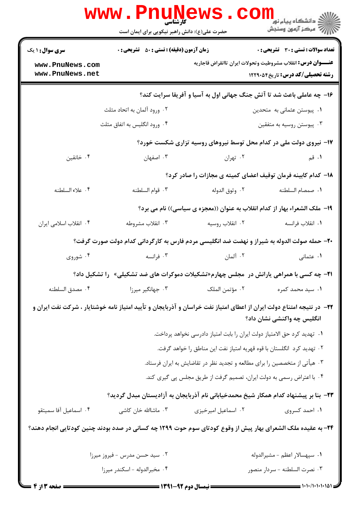|                                    | <b>MMM • FUTTIG</b><br>حضرت علی(ع): دانش راهبر نیکویی برای ایمان است                                                  |                                                                                 | <mark>ڪ دانشڪاه پيام نور</mark><br>رُ⁄ کرڪز آزمون وسنڊش                                                      |
|------------------------------------|-----------------------------------------------------------------------------------------------------------------------|---------------------------------------------------------------------------------|--------------------------------------------------------------------------------------------------------------|
| <b>سری سوال : ۱ یک</b>             | <b>زمان آزمون (دقیقه) : تستی : 50 ٪ تشریحی : 0</b>                                                                    |                                                                                 | <b>تعداد سوالات : تستی : 30 ٪ تشریحی : 0</b>                                                                 |
| www.PnuNews.com<br>www.PnuNews.net |                                                                                                                       |                                                                                 | <b>عنـــوان درس:</b> انقلاب مشروطيت وتحولات ايران تاانقراض قاجاريه<br><b>رشته تحصیلی/کد درس:</b> تاریخ480221 |
|                                    |                                                                                                                       |                                                                                 |                                                                                                              |
|                                    |                                                                                                                       |                                                                                 | ۱۶- چه عاملی باعث شد تا آتش جنگ جهانی اول به آسیا و آفریقا سرایت کند؟                                        |
|                                    | ۰۲ ورود ألمان به اتحاد مثلث<br>۰۴ ورود انگلیس به اتفاق مثلث                                                           |                                                                                 | ۰۱ پیوستن عثمانی به متحدین<br>۰۳ پیوستن روسیه به متفقین                                                      |
|                                    |                                                                                                                       |                                                                                 |                                                                                                              |
|                                    |                                                                                                                       |                                                                                 | ۱۷- نیروی دولت ملی در کدام محل توسط نیروهای روسیه تزاری شکست خورد؟                                           |
| ۰۴ خانقین                          | ۰۳ اصفهان                                                                                                             | ۰۲ تهران                                                                        | <b>۱</b> . قم                                                                                                |
|                                    |                                                                                                                       |                                                                                 | 18- کدام کابینه فرمان توقیف اعضای کمیته ی مجازات را صادر کرد؟                                                |
| ۰۴ علاء السلطنه                    | ٠٣ قوام السلطنه                                                                                                       | ٠٢ وثوق الدوله                                                                  | ٠١. صمصام السلطنه                                                                                            |
|                                    |                                                                                                                       |                                                                                 | ۱۹- ملک الشعراء بهار از کدام انقلاب به عنوان ((معجزه ی سیاسی)) نام می برد؟                                   |
| ۰۴ انقلاب اسلامی ایران             | ۰۳ انقلاب مشروطه                                                                                                      | ۰۲ انقلاب روسیه                                                                 | ٠١. انقلاب فرانسه                                                                                            |
|                                    | +۲- حمله صولت الدوله به شیراز و نهضت ضد انگلیسی مردم فارس به کارگردانی کدام دولت صورت گرفت؟                           |                                                                                 |                                                                                                              |
| ۰۴ شوروی                           | ۰۳ فرانسه                                                                                                             | ۰۲ آلمان                                                                        | ۰۱ عثمانی                                                                                                    |
|                                    | <b>۲۱</b> - چه کسی با همراهی یارانش در ًمجلس چهارم«تشکیلات دموکرات های ضد تشکیلی» را تشکیل داد؟                       |                                                                                 |                                                                                                              |
| ۰۴ مصدق السلطنه                    | ۰۳ جهانگير ميرزا                                                                                                      | ٠٢ مؤتمن الملك                                                                  | ۰۱ سید محمد کمره                                                                                             |
|                                    | ۲۲– در نتیجه امتناع دولت ایران از اعطای امتیاز نفت خراسان و آذربایجان و تأیید امتیاز نامه خوشتایار ، شرکت نفت ایران و |                                                                                 | انگلیس چه واکنشی نشان داد؟                                                                                   |
|                                    |                                                                                                                       | <b>۱.</b> تهديد كرد حق الامتياز دولت ايران را بابت امتياز دادرسى نخواهد پرداخت. |                                                                                                              |
|                                    |                                                                                                                       | ۰۲ تهدید کرد انگلستان با قوه قهریه امتیاز نفت این مناطق را خواهد گرفت.          |                                                                                                              |
|                                    |                                                                                                                       | ۰۳ هیأتی از متخصصین را برای مطالعه و تجدید نظر در تقاضایش به ایران فرستاد.      |                                                                                                              |
|                                    |                                                                                                                       | ۰۴ با اعتراض رسمی به دولت ایران، تصمیم گرفت از طریق مجلس پی گیری کند.           |                                                                                                              |
|                                    | ۲۳– بنا بر پیشنهاد کدام همکار شیخ محمدخیابانی نام آذربایجان به آزادیستان مبدل گردید؟                                  |                                                                                 |                                                                                                              |
| ۰۴ اسماعيل آفا سميتقو              | ۰۳ ماشاالله خان کاشی                                                                                                  | ۰۲ اسماعیل امیرخیزی                                                             | ۰۱. احمد کسروی                                                                                               |
|                                    | ۲۴– به عقیده ملک الشعرای بهار پیش از وقوع کودتای سوم حوت ۱۲۹۹ چه کسانی در صدد بودند چنین کودتایی انجام دهند؟          |                                                                                 |                                                                                                              |
|                                    | ٠٢ سيد حسن مدرس - فيروز ميرزا                                                                                         |                                                                                 | ۰۱ سپهسالار اعظم - مشيرالدوله                                                                                |
|                                    | ۰۴ مخبرالدوله - اسكندر ميرزا                                                                                          |                                                                                 | ۰۳ نصرت السلطنه - سردار منصور                                                                                |
| = صفحه 13 j                        |                                                                                                                       |                                                                                 |                                                                                                              |